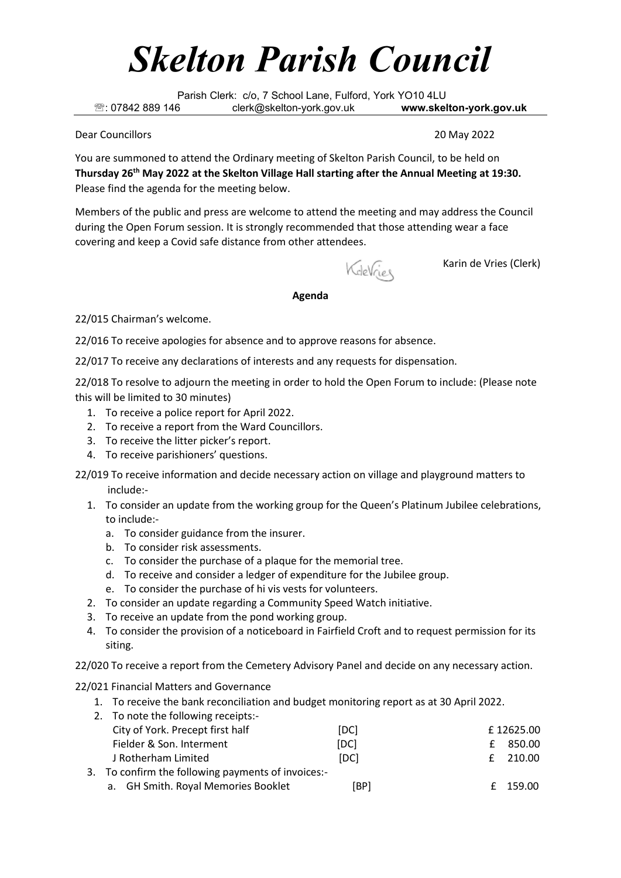## *Skelton Parish Council*

Parish Clerk: c/o, 7 School Lane, Fulford, York YO10 4LU : 07842 889 146 clerk@skelton-york.gov.uk **www.skelton-york.gov.uk**

Dear Councillors 20 May 2022

You are summoned to attend the Ordinary meeting of Skelton Parish Council, to be held on **Thursday 26 th May 2022 at the Skelton Village Hall starting after the Annual Meeting at 19:30.**  Please find the agenda for the meeting below.

Members of the public and press are welcome to attend the meeting and may address the Council during the Open Forum session. It is strongly recommended that those attending wear a face covering and keep a Covid safe distance from other attendees.

KdeVries

Karin de Vries (Clerk)

## **Agenda**

22/015 Chairman's welcome.

22/016 To receive apologies for absence and to approve reasons for absence.

22/017 To receive any declarations of interests and any requests for dispensation.

22/018 To resolve to adjourn the meeting in order to hold the Open Forum to include: (Please note this will be limited to 30 minutes)

- 1. To receive a police report for April 2022.
- 2. To receive a report from the Ward Councillors.
- 3. To receive the litter picker's report.
- 4. To receive parishioners' questions.

22/019 To receive information and decide necessary action on village and playground matters to include:-

- 1. To consider an update from the working group for the Queen's Platinum Jubilee celebrations, to include:
	- a. To consider guidance from the insurer.
	- b. To consider risk assessments.
	- c. To consider the purchase of a plaque for the memorial tree.
	- d. To receive and consider a ledger of expenditure for the Jubilee group.
	- e. To consider the purchase of hi vis vests for volunteers.
- 2. To consider an update regarding a Community Speed Watch initiative.
- 3. To receive an update from the pond working group.
- 4. To consider the provision of a noticeboard in Fairfield Croft and to request permission for its siting.

22/020 To receive a report from the Cemetery Advisory Panel and decide on any necessary action.

22/021 Financial Matters and Governance

1. To receive the bank reconciliation and budget monitoring report as at 30 April 2022.

| 2. To note the following receipts:-                |      |              |           |  |  |
|----------------------------------------------------|------|--------------|-----------|--|--|
| City of York. Precept first half                   | [DC] |              | £12625.00 |  |  |
| Fielder & Son. Interment                           | [DC] | $\mathbf{f}$ | 850.00    |  |  |
| J Rotherham Limited                                | [DC] | f            | 210.00    |  |  |
| 3. To confirm the following payments of invoices:- |      |              |           |  |  |
| a. GH Smith. Royal Memories Booklet                | [BP] |              | £ 159.00  |  |  |